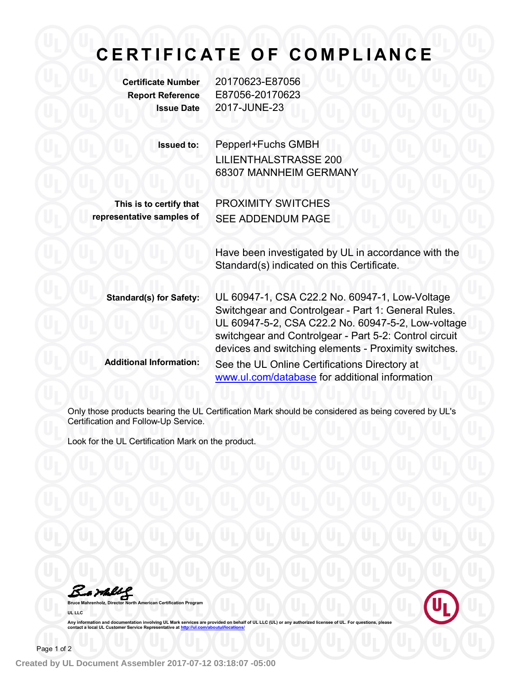## **C E R T I F I C A T E O F C O M PL I A N C E**

**Certificate Number** 20170623-E87056 **Report Reference** E87056-20170623 **Issue Date** 2017-JUNE-23

| <b>Issued to:</b>                                    | Pepperl+Fuchs GMBH<br><b>LILIENTHALSTRASSE 200</b><br>68307 MANNHEIM GERMANY                                                                                                                                                                                                  |
|------------------------------------------------------|-------------------------------------------------------------------------------------------------------------------------------------------------------------------------------------------------------------------------------------------------------------------------------|
| This is to certify that<br>representative samples of | <b>PROXIMITY SWITCHES</b><br><b>SEE ADDENDUM PAGE</b>                                                                                                                                                                                                                         |
|                                                      | Have been investigated by UL in accordance with the<br>Standard(s) indicated on this Certificate.                                                                                                                                                                             |
| <b>Standard(s) for Safety:</b>                       | UL 60947-1, CSA C22.2 No. 60947-1, Low-Voltage<br>Switchgear and Controlgear - Part 1: General Rules.<br>UL 60947-5-2, CSA C22.2 No. 60947-5-2, Low-voltage<br>switchgear and Controlgear - Part 5-2: Control circuit<br>devices and switching elements - Proximity switches. |
| <b>Additional Information:</b>                       | See the UL Online Certifications Directory at<br>www.ul.com/database for additional information                                                                                                                                                                               |

Only those products bearing the UL Certification Mark should be considered as being covered by UL's Certification and Follow-Up Service.

Look for the UL Certification Mark on the product.

Barbleg





Any information and documentation involving UL Mark services are provided on behalf of UL LLC (UL) or any authorized licensee of UL. For questions, please<br>contact a local UL Customer Service Representative at <u>http://ul.co</u>